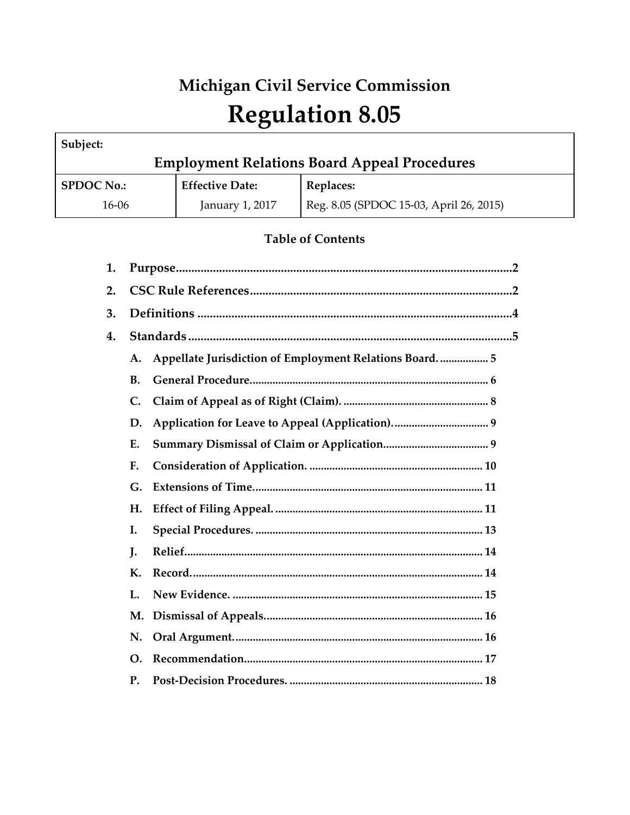# Michigan Civil Service Commission **Regulation 8.05**

| Subject:                                            |                        |                                         |  |
|-----------------------------------------------------|------------------------|-----------------------------------------|--|
| <b>Employment Relations Board Appeal Procedures</b> |                        |                                         |  |
| <b>SPDOC No.:</b>                                   | <b>Effective Date:</b> | <b>Replaces:</b>                        |  |
| 16-06                                               | January 1, 2017        | Reg. 8.05 (SPDOC 15-03, April 26, 2015) |  |

# **Table of Contents**

| 1. |                |                                                          |  |
|----|----------------|----------------------------------------------------------|--|
| 2. |                |                                                          |  |
| 3. |                |                                                          |  |
| 4. |                |                                                          |  |
|    | A.             | Appellate Jurisdiction of Employment Relations Board.  5 |  |
|    | <b>B.</b>      |                                                          |  |
|    | $\mathsf{C}$ . |                                                          |  |
|    | D.             |                                                          |  |
|    | Ε.             |                                                          |  |
|    | F.             |                                                          |  |
|    | G.             |                                                          |  |
|    | Н.             |                                                          |  |
|    | I.             |                                                          |  |
|    | J.             |                                                          |  |
|    | К.             |                                                          |  |
|    | L.             |                                                          |  |
|    | <b>M.</b>      |                                                          |  |
|    | N.             |                                                          |  |
|    | <b>O.</b>      |                                                          |  |
|    | <b>P.</b>      |                                                          |  |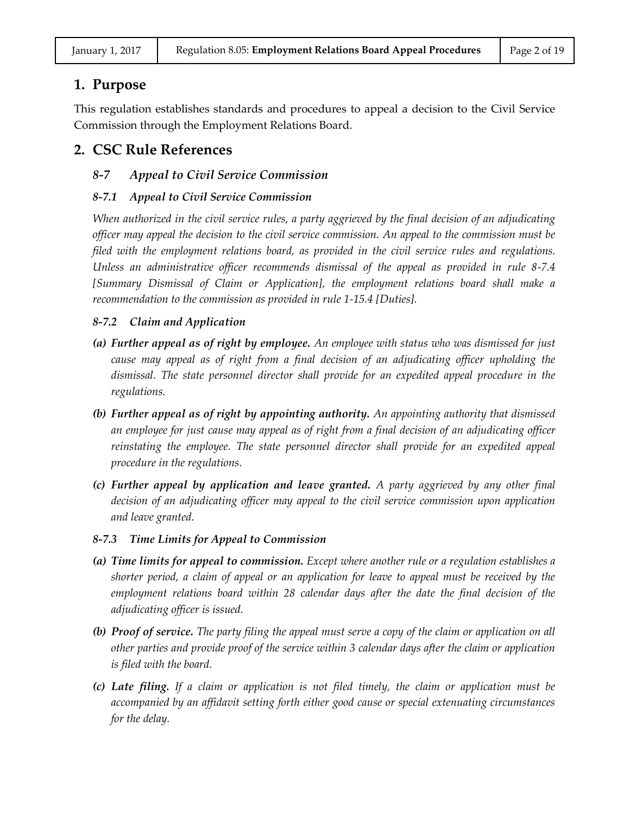# **1. Purpose**

This regulation establishes standards and procedures to appeal a decision to the Civil Service Commission through the Employment Relations Board.

# **2. CSC Rule References**

# *8-7 Appeal to Civil Service Commission*

# *8-7.1 Appeal to Civil Service Commission*

*When authorized in the civil service rules, a party aggrieved by the final decision of an adjudicating officer may appeal the decision to the civil service commission. An appeal to the commission must be filed with the employment relations board, as provided in the civil service rules and regulations. Unless an administrative officer recommends dismissal of the appeal as provided in rule 8-7.4 [Summary Dismissal of Claim or Application], the employment relations board shall make a recommendation to the commission as provided in rule 1-15.4 [Duties].*

# *8-7.2 Claim and Application*

- *(a) Further appeal as of right by employee. An employee with status who was dismissed for just cause may appeal as of right from a final decision of an adjudicating officer upholding the dismissal. The state personnel director shall provide for an expedited appeal procedure in the regulations.*
- *(b) Further appeal as of right by appointing authority. An appointing authority that dismissed an employee for just cause may appeal as of right from a final decision of an adjudicating officer*  reinstating the employee. The state personnel director shall provide for an expedited appeal *procedure in the regulations.*
- *(c) Further appeal by application and leave granted. A party aggrieved by any other final decision of an adjudicating officer may appeal to the civil service commission upon application and leave granted.*
- *8-7.3 Time Limits for Appeal to Commission*
- *(a) Time limits for appeal to commission. Except where another rule or a regulation establishes a shorter period, a claim of appeal or an application for leave to appeal must be received by the employment relations board within 28 calendar days after the date the final decision of the adjudicating officer is issued.*
- *(b) Proof of service. The party filing the appeal must serve a copy of the claim or application on all other parties and provide proof of the service within 3 calendar days after the claim or application is filed with the board.*
- *(c) Late filing. If a claim or application is not filed timely, the claim or application must be accompanied by an affidavit setting forth either good cause or special extenuating circumstances for the delay.*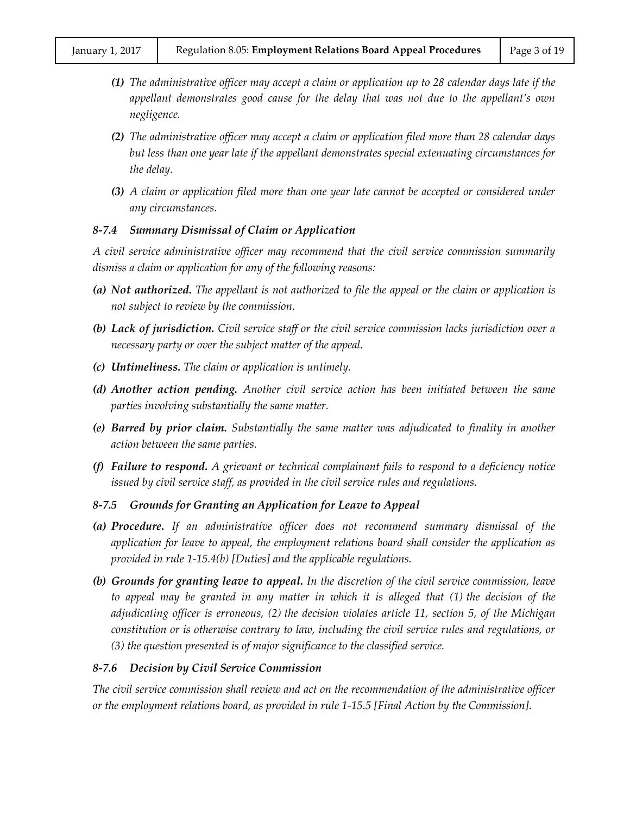- *(1) The administrative officer may accept a claim or application up to 28 calendar days late if the appellant demonstrates good cause for the delay that was not due to the appellant's own negligence.*
- *(2) The administrative officer may accept a claim or application filed more than 28 calendar days but less than one year late if the appellant demonstrates special extenuating circumstances for the delay.*
- *(3) A claim or application filed more than one year late cannot be accepted or considered under any circumstances.*

#### *8-7.4 Summary Dismissal of Claim or Application*

*A civil service administrative officer may recommend that the civil service commission summarily dismiss a claim or application for any of the following reasons:*

- *(a) Not authorized. The appellant is not authorized to file the appeal or the claim or application is not subject to review by the commission.*
- *(b) Lack of jurisdiction. Civil service staff or the civil service commission lacks jurisdiction over a necessary party or over the subject matter of the appeal.*
- *(c) Untimeliness. The claim or application is untimely.*
- *(d) Another action pending. Another civil service action has been initiated between the same parties involving substantially the same matter.*
- *(e) Barred by prior claim. Substantially the same matter was adjudicated to finality in another action between the same parties.*
- *(f) Failure to respond. A grievant or technical complainant fails to respond to a deficiency notice issued by civil service staff, as provided in the civil service rules and regulations.*

# *8-7.5 Grounds for Granting an Application for Leave to Appeal*

- *(a) Procedure. If an administrative officer does not recommend summary dismissal of the application for leave to appeal, the employment relations board shall consider the application as provided in rule 1-15.4(b) [Duties] and the applicable regulations.*
- *(b) Grounds for granting leave to appeal. In the discretion of the civil service commission, leave to appeal may be granted in any matter in which it is alleged that (1) the decision of the adjudicating officer is erroneous, (2) the decision violates article 11, section 5, of the Michigan constitution or is otherwise contrary to law, including the civil service rules and regulations, or (3) the question presented is of major significance to the classified service.*

# *8-7.6 Decision by Civil Service Commission*

*The civil service commission shall review and act on the recommendation of the administrative officer or the employment relations board, as provided in rule 1-15.5 [Final Action by the Commission].*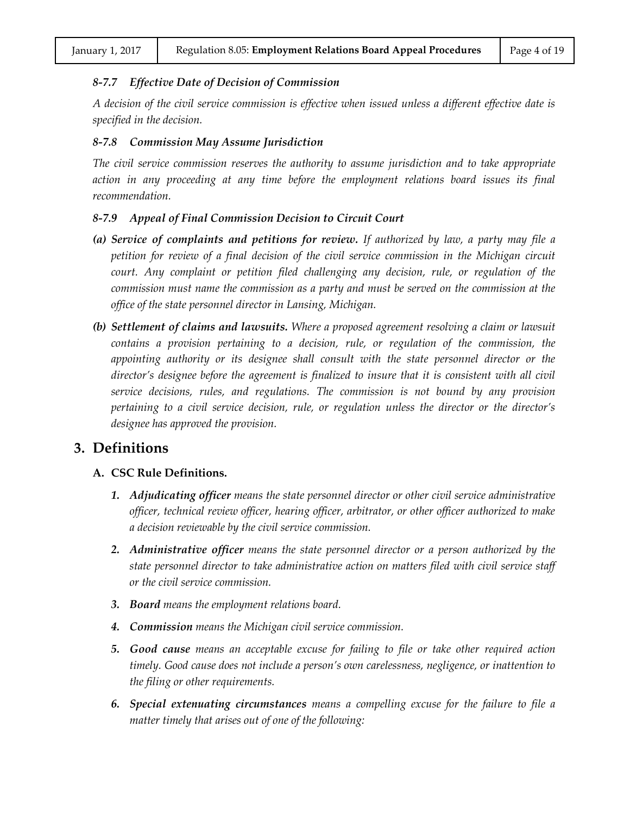#### *8-7.7 Effective Date of Decision of Commission*

*A decision of the civil service commission is effective when issued unless a different effective date is specified in the decision.*

#### *8-7.8 Commission May Assume Jurisdiction*

*The civil service commission reserves the authority to assume jurisdiction and to take appropriate*  action in any proceeding at any time before the employment relations board issues its final *recommendation.*

#### *8-7.9 Appeal of Final Commission Decision to Circuit Court*

- *(a) Service of complaints and petitions for review. If authorized by law, a party may file a petition for review of a final decision of the civil service commission in the Michigan circuit court. Any complaint or petition filed challenging any decision, rule, or regulation of the commission must name the commission as a party and must be served on the commission at the office of the state personnel director in Lansing, Michigan.*
- *(b) Settlement of claims and lawsuits. Where a proposed agreement resolving a claim or lawsuit contains a provision pertaining to a decision, rule, or regulation of the commission, the appointing authority or its designee shall consult with the state personnel director or the director's designee before the agreement is finalized to insure that it is consistent with all civil service decisions, rules, and regulations. The commission is not bound by any provision pertaining to a civil service decision, rule, or regulation unless the director or the director's designee has approved the provision.*

# **3. Definitions**

#### **A. CSC Rule Definitions.**

- *1. Adjudicating officer means the state personnel director or other civil service administrative officer, technical review officer, hearing officer, arbitrator, or other officer authorized to make a decision reviewable by the civil service commission.*
- *2. Administrative officer means the state personnel director or a person authorized by the state personnel director to take administrative action on matters filed with civil service staff or the civil service commission.*
- *3. Board means the employment relations board.*
- *4. Commission means the Michigan civil service commission.*
- *5. Good cause means an acceptable excuse for failing to file or take other required action timely. Good cause does not include a person's own carelessness, negligence, or inattention to the filing or other requirements.*
- *6. Special extenuating circumstances means a compelling excuse for the failure to file a matter timely that arises out of one of the following:*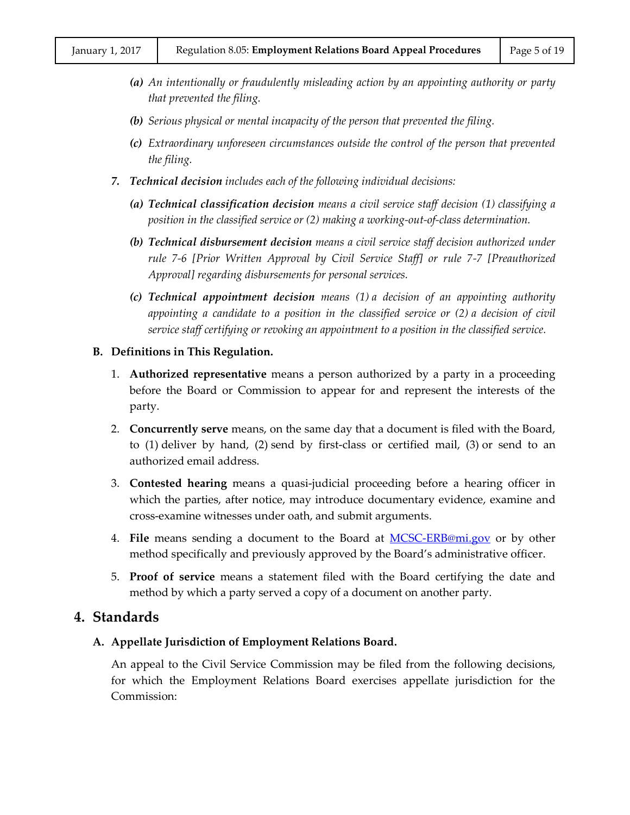- *(a) An intentionally or fraudulently misleading action by an appointing authority or party that prevented the filing.*
- *(b) Serious physical or mental incapacity of the person that prevented the filing.*
- *(c) Extraordinary unforeseen circumstances outside the control of the person that prevented the filing.*
- *7. Technical decision includes each of the following individual decisions:*
	- *(a) Technical classification decision means a civil service staff decision (1) classifying a position in the classified service or (2) making a working-out-of-class determination.*
	- *(b) Technical disbursement decision means a civil service staff decision authorized under rule 7-6 [Prior Written Approval by Civil Service Staff] or rule 7-7 [Preauthorized Approval] regarding disbursements for personal services.*
	- *(c) Technical appointment decision means (1) a decision of an appointing authority appointing a candidate to a position in the classified service or (2) a decision of civil service staff certifying or revoking an appointment to a position in the classified service.*

#### **B. Definitions in This Regulation.**

- 1. **Authorized representative** means a person authorized by a party in a proceeding before the Board or Commission to appear for and represent the interests of the party.
- 2. **Concurrently serve** means, on the same day that a document is filed with the Board, to (1) deliver by hand, (2) send by first-class or certified mail, (3) or send to an authorized email address.
- 3. **Contested hearing** means a quasi-judicial proceeding before a hearing officer in which the parties, after notice, may introduce documentary evidence, examine and cross-examine witnesses under oath, and submit arguments.
- 4. **File** means sending a document to the Board at [MCSC-ERB@mi.gov](mailto:MCSC-ERB@mi.gov) or by other method specifically and previously approved by the Board's administrative officer.
- 5. **Proof of service** means a statement filed with the Board certifying the date and method by which a party served a copy of a document on another party.

# **4. Standards**

# **A. Appellate Jurisdiction of Employment Relations Board.**

An appeal to the Civil Service Commission may be filed from the following decisions, for which the Employment Relations Board exercises appellate jurisdiction for the Commission: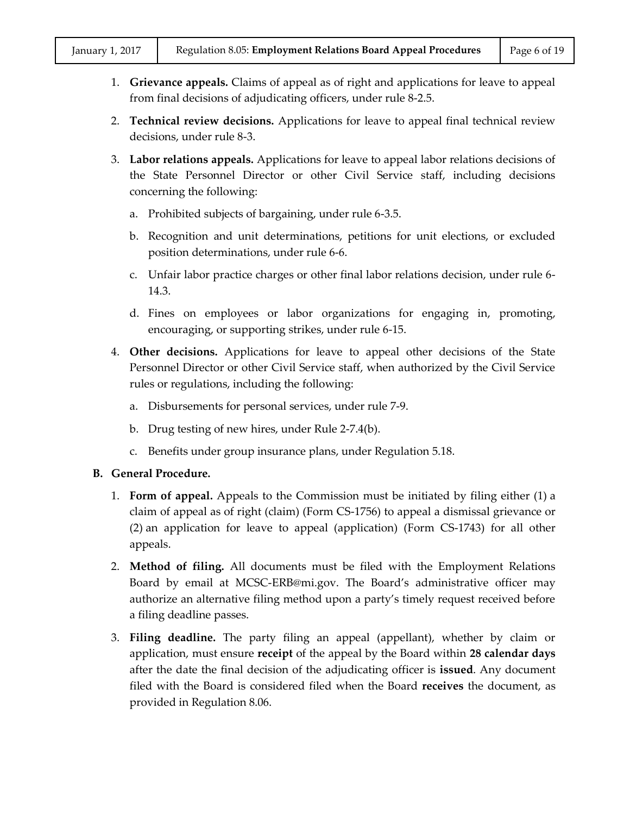- 1. **Grievance appeals.** Claims of appeal as of right and applications for leave to appeal from final decisions of adjudicating officers, under rule 8-2.5.
- 2. **Technical review decisions.** Applications for leave to appeal final technical review decisions, under rule 8-3.
- 3. **Labor relations appeals.** Applications for leave to appeal labor relations decisions of the State Personnel Director or other Civil Service staff, including decisions concerning the following:
	- a. Prohibited subjects of bargaining, under rule 6-3.5.
	- b. Recognition and unit determinations, petitions for unit elections, or excluded position determinations, under rule 6-6.
	- c. Unfair labor practice charges or other final labor relations decision, under rule 6- 14.3.
	- d. Fines on employees or labor organizations for engaging in, promoting, encouraging, or supporting strikes, under rule 6-15.
- 4. **Other decisions.** Applications for leave to appeal other decisions of the State Personnel Director or other Civil Service staff, when authorized by the Civil Service rules or regulations, including the following:
	- a. Disbursements for personal services, under rule 7-9.
	- b. Drug testing of new hires, under Rule 2-7.4(b).
	- c. Benefits under group insurance plans, under Regulation 5.18.

# **B. General Procedure.**

- 1. **Form of appeal.** Appeals to the Commission must be initiated by filing either (1) a claim of appeal as of right (claim) (Form CS-1756) to appeal a dismissal grievance or (2) an application for leave to appeal (application) (Form CS-1743) for all other appeals.
- 2. **Method of filing.** All documents must be filed with the Employment Relations Board by email at MCSC-ERB@mi.gov. The Board's administrative officer may authorize an alternative filing method upon a party's timely request received before a filing deadline passes.
- 3. **Filing deadline.** The party filing an appeal (appellant), whether by claim or application, must ensure **receipt** of the appeal by the Board within **28 calendar days** after the date the final decision of the adjudicating officer is **issued**. Any document filed with the Board is considered filed when the Board **receives** the document, as provided in Regulation 8.06.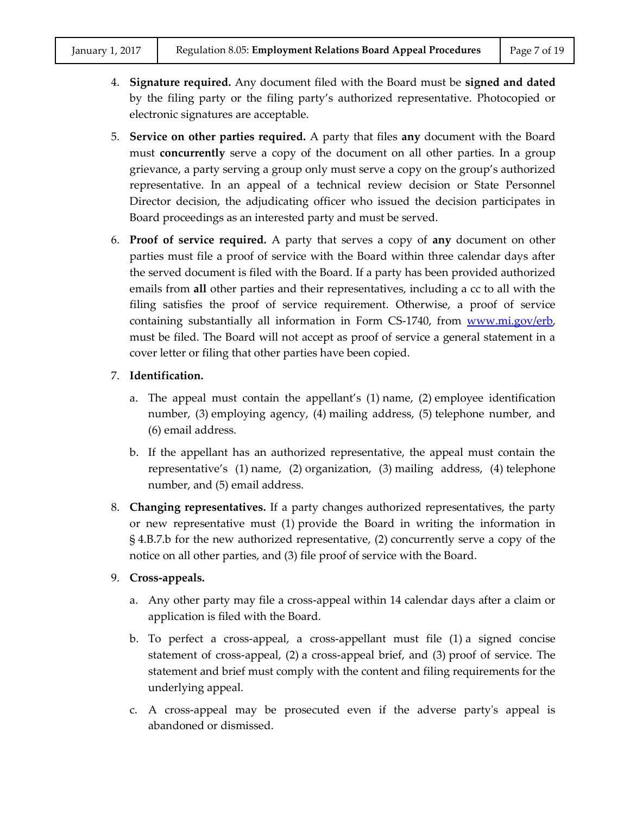- 4. **Signature required.** Any document filed with the Board must be **signed and dated** by the filing party or the filing party's authorized representative. Photocopied or electronic signatures are acceptable.
- 5. **Service on other parties required.** A party that files **any** document with the Board must **concurrently** serve a copy of the document on all other parties. In a group grievance, a party serving a group only must serve a copy on the group's authorized representative. In an appeal of a technical review decision or State Personnel Director decision, the adjudicating officer who issued the decision participates in Board proceedings as an interested party and must be served.
- 6. **Proof of service required.** A party that serves a copy of **any** document on other parties must file a proof of service with the Board within three calendar days after the served document is filed with the Board. If a party has been provided authorized emails from **all** other parties and their representatives, including a cc to all with the filing satisfies the proof of service requirement. Otherwise, a proof of service containing substantially all information in Form CS-1740, from [www.mi.gov/erb,](http://www.mi.gov/erb) must be filed. The Board will not accept as proof of service a general statement in a cover letter or filing that other parties have been copied.

# 7. **Identification.**

- a. The appeal must contain the appellant's (1) name, (2) employee identification number, (3) employing agency, (4) mailing address, (5) telephone number, and (6) email address.
- b. If the appellant has an authorized representative, the appeal must contain the representative's (1) name, (2) organization, (3) mailing address, (4) telephone number, and (5) email address.
- 8. **Changing representatives.** If a party changes authorized representatives, the party or new representative must (1) provide the Board in writing the information in § 4.B.7.b for the new authorized representative, (2) concurrently serve a copy of the notice on all other parties, and (3) file proof of service with the Board.

# 9. **Cross-appeals.**

- a. Any other party may file a cross-appeal within 14 calendar days after a claim or application is filed with the Board.
- b. To perfect a cross-appeal, a cross-appellant must file (1) a signed concise statement of cross-appeal, (2) a cross-appeal brief, and (3) proof of service. The statement and brief must comply with the content and filing requirements for the underlying appeal.
- c. A cross-appeal may be prosecuted even if the adverse party's appeal is abandoned or dismissed.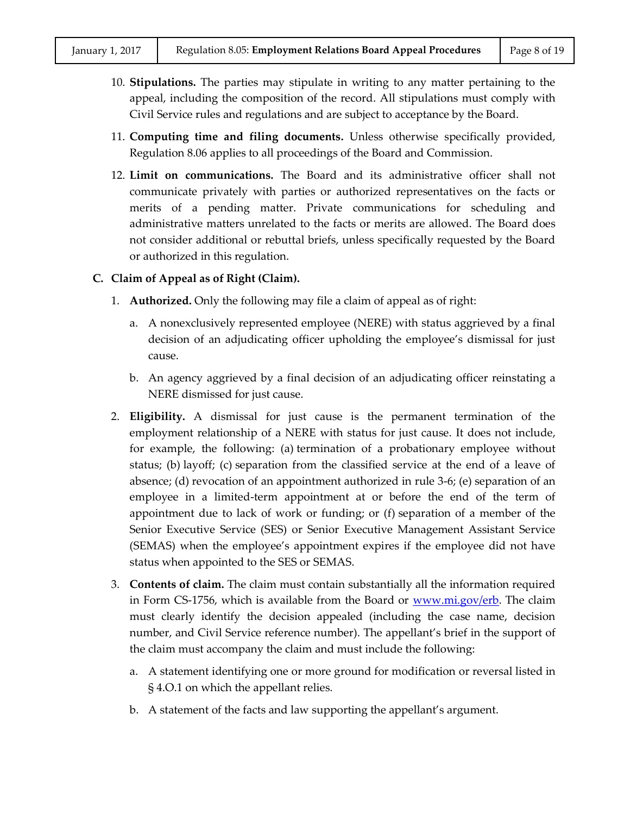- 10. **Stipulations.** The parties may stipulate in writing to any matter pertaining to the appeal, including the composition of the record. All stipulations must comply with Civil Service rules and regulations and are subject to acceptance by the Board.
- 11. **Computing time and filing documents.** Unless otherwise specifically provided, Regulation 8.06 applies to all proceedings of the Board and Commission.
- 12. **Limit on communications.** The Board and its administrative officer shall not communicate privately with parties or authorized representatives on the facts or merits of a pending matter. Private communications for scheduling and administrative matters unrelated to the facts or merits are allowed. The Board does not consider additional or rebuttal briefs, unless specifically requested by the Board or authorized in this regulation.

#### **C. Claim of Appeal as of Right (Claim).**

- 1. **Authorized.** Only the following may file a claim of appeal as of right:
	- a. A nonexclusively represented employee (NERE) with status aggrieved by a final decision of an adjudicating officer upholding the employee's dismissal for just cause.
	- b. An agency aggrieved by a final decision of an adjudicating officer reinstating a NERE dismissed for just cause.
- 2. **Eligibility.** A dismissal for just cause is the permanent termination of the employment relationship of a NERE with status for just cause. It does not include, for example, the following: (a) termination of a probationary employee without status; (b) layoff; (c) separation from the classified service at the end of a leave of absence; (d) revocation of an appointment authorized in rule 3-6; (e) separation of an employee in a limited-term appointment at or before the end of the term of appointment due to lack of work or funding; or (f) separation of a member of the Senior Executive Service (SES) or Senior Executive Management Assistant Service (SEMAS) when the employee's appointment expires if the employee did not have status when appointed to the SES or SEMAS.
- 3. **Contents of claim.** The claim must contain substantially all the information required in Form CS-1756, which is available from the Board or  $\frac{www.mi.gov/erb}{www.mi.gov/erb}$ . The claim must clearly identify the decision appealed (including the case name, decision number, and Civil Service reference number). The appellant's brief in the support of the claim must accompany the claim and must include the following:
	- a. A statement identifying one or more ground for modification or reversal listed in § 4.O.1 on which the appellant relies.
	- b. A statement of the facts and law supporting the appellant's argument.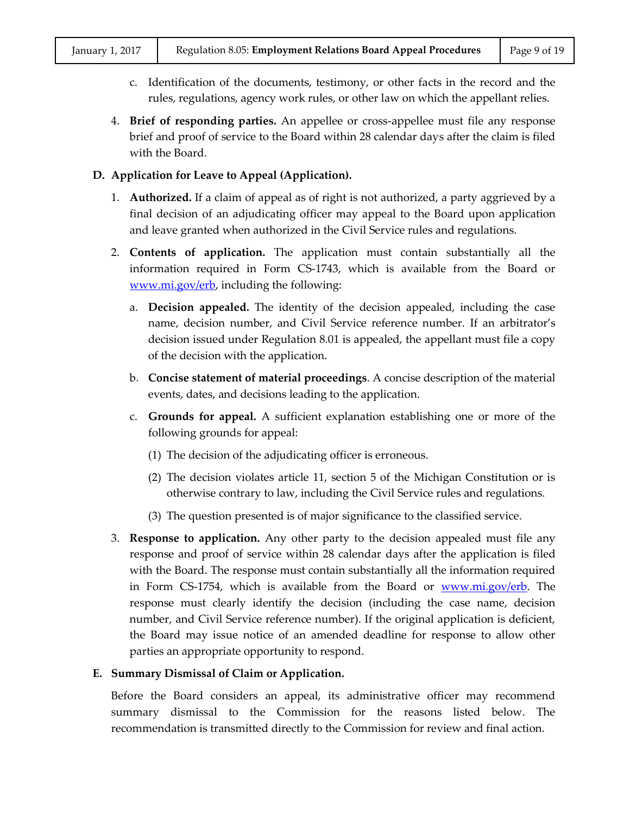- c. Identification of the documents, testimony, or other facts in the record and the rules, regulations, agency work rules, or other law on which the appellant relies.
- 4. **Brief of responding parties.** An appellee or cross-appellee must file any response brief and proof of service to the Board within 28 calendar days after the claim is filed with the Board.

# **D. Application for Leave to Appeal (Application).**

- 1. **Authorized.** If a claim of appeal as of right is not authorized, a party aggrieved by a final decision of an adjudicating officer may appeal to the Board upon application and leave granted when authorized in the Civil Service rules and regulations.
- 2. **Contents of application.** The application must contain substantially all the information required in Form CS-1743, which is available from the Board or [www.mi.gov/erb,](http://www.mi.gov/erb) including the following:
	- a. **Decision appealed.** The identity of the decision appealed, including the case name, decision number, and Civil Service reference number. If an arbitrator's decision issued under Regulation 8.01 is appealed, the appellant must file a copy of the decision with the application.
	- b. **Concise statement of material proceedings**. A concise description of the material events, dates, and decisions leading to the application.
	- c. **Grounds for appeal.** A sufficient explanation establishing one or more of the following grounds for appeal:
		- (1) The decision of the adjudicating officer is erroneous.
		- (2) The decision violates article 11, section 5 of the Michigan Constitution or is otherwise contrary to law, including the Civil Service rules and regulations.
		- (3) The question presented is of major significance to the classified service.
- 3. **Response to application.** Any other party to the decision appealed must file any response and proof of service within 28 calendar days after the application is filed with the Board. The response must contain substantially all the information required in Form CS-1754, which is available from the Board or <u>www.mi.gov/erb</u>. The response must clearly identify the decision (including the case name, decision number, and Civil Service reference number). If the original application is deficient, the Board may issue notice of an amended deadline for response to allow other parties an appropriate opportunity to respond.

# **E. Summary Dismissal of Claim or Application.**

Before the Board considers an appeal, its administrative officer may recommend summary dismissal to the Commission for the reasons listed below. The recommendation is transmitted directly to the Commission for review and final action.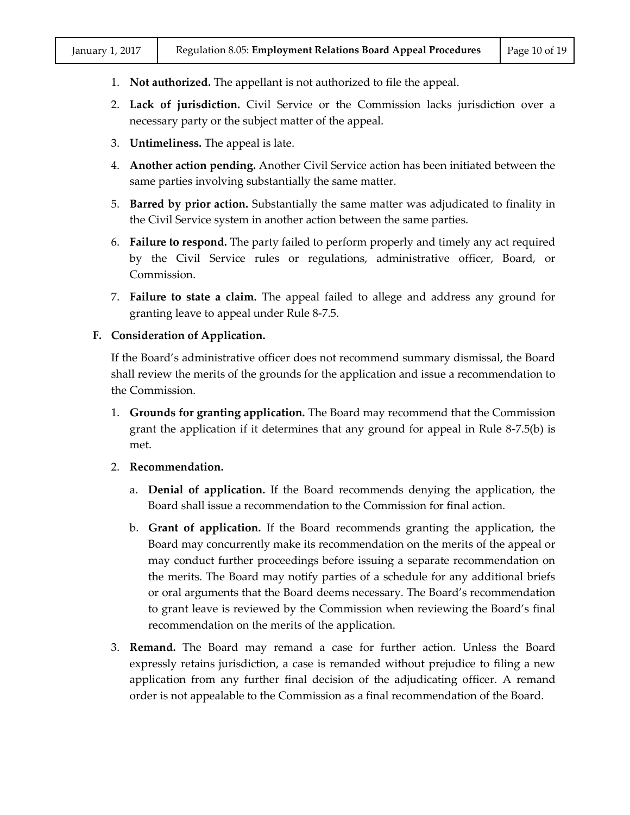- 1. **Not authorized.** The appellant is not authorized to file the appeal.
- 2. **Lack of jurisdiction.** Civil Service or the Commission lacks jurisdiction over a necessary party or the subject matter of the appeal.
- 3. **Untimeliness.** The appeal is late.
- 4. **Another action pending.** Another Civil Service action has been initiated between the same parties involving substantially the same matter.
- 5. **Barred by prior action.** Substantially the same matter was adjudicated to finality in the Civil Service system in another action between the same parties.
- 6. **Failure to respond.** The party failed to perform properly and timely any act required by the Civil Service rules or regulations, administrative officer, Board, or Commission.
- 7. **Failure to state a claim.** The appeal failed to allege and address any ground for granting leave to appeal under Rule 8-7.5.

#### **F. Consideration of Application.**

If the Board's administrative officer does not recommend summary dismissal, the Board shall review the merits of the grounds for the application and issue a recommendation to the Commission.

- 1. **Grounds for granting application.** The Board may recommend that the Commission grant the application if it determines that any ground for appeal in Rule 8-7.5(b) is met.
- 2. **Recommendation.**
	- a. **Denial of application.** If the Board recommends denying the application, the Board shall issue a recommendation to the Commission for final action.
	- b. **Grant of application.** If the Board recommends granting the application, the Board may concurrently make its recommendation on the merits of the appeal or may conduct further proceedings before issuing a separate recommendation on the merits. The Board may notify parties of a schedule for any additional briefs or oral arguments that the Board deems necessary. The Board's recommendation to grant leave is reviewed by the Commission when reviewing the Board's final recommendation on the merits of the application.
- 3. **Remand.** The Board may remand a case for further action. Unless the Board expressly retains jurisdiction, a case is remanded without prejudice to filing a new application from any further final decision of the adjudicating officer. A remand order is not appealable to the Commission as a final recommendation of the Board.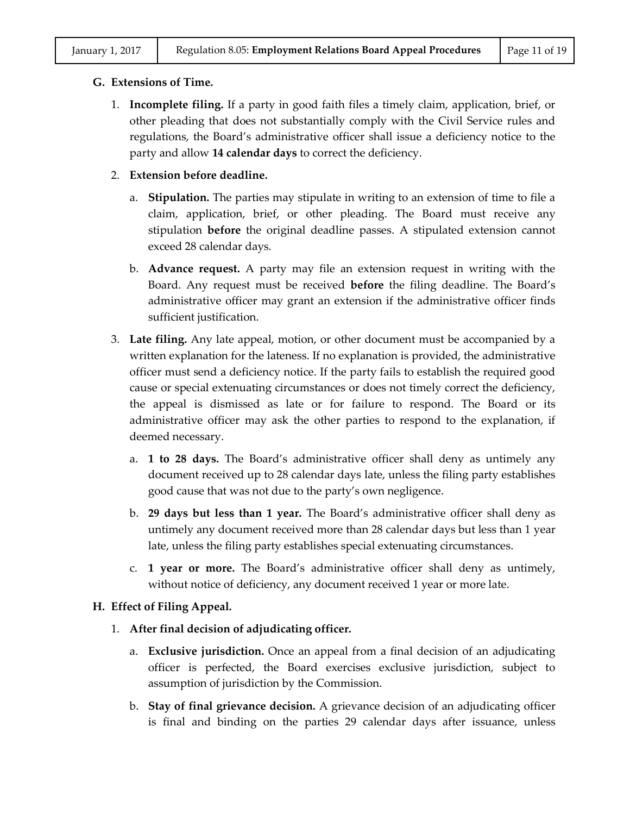#### **G. Extensions of Time.**

- 1. **Incomplete filing.** If a party in good faith files a timely claim, application, brief, or other pleading that does not substantially comply with the Civil Service rules and regulations, the Board's administrative officer shall issue a deficiency notice to the party and allow **14 calendar days** to correct the deficiency.
- 2. **Extension before deadline.**
	- a. **Stipulation.** The parties may stipulate in writing to an extension of time to file a claim, application, brief, or other pleading. The Board must receive any stipulation **before** the original deadline passes. A stipulated extension cannot exceed 28 calendar days.
	- b. **Advance request.** A party may file an extension request in writing with the Board. Any request must be received **before** the filing deadline. The Board's administrative officer may grant an extension if the administrative officer finds sufficient justification.
- 3. **Late filing.** Any late appeal, motion, or other document must be accompanied by a written explanation for the lateness. If no explanation is provided, the administrative officer must send a deficiency notice. If the party fails to establish the required good cause or special extenuating circumstances or does not timely correct the deficiency, the appeal is dismissed as late or for failure to respond. The Board or its administrative officer may ask the other parties to respond to the explanation, if deemed necessary.
	- a. **1 to 28 days.** The Board's administrative officer shall deny as untimely any document received up to 28 calendar days late, unless the filing party establishes good cause that was not due to the party's own negligence.
	- b. **29 days but less than 1 year.** The Board's administrative officer shall deny as untimely any document received more than 28 calendar days but less than 1 year late, unless the filing party establishes special extenuating circumstances.
	- c. **1 year or more.** The Board's administrative officer shall deny as untimely, without notice of deficiency, any document received 1 year or more late.

# **H. Effect of Filing Appeal.**

- 1. **After final decision of adjudicating officer.**
	- a. **Exclusive jurisdiction.** Once an appeal from a final decision of an adjudicating officer is perfected, the Board exercises exclusive jurisdiction, subject to assumption of jurisdiction by the Commission.
	- b. **Stay of final grievance decision.** A grievance decision of an adjudicating officer is final and binding on the parties 29 calendar days after issuance, unless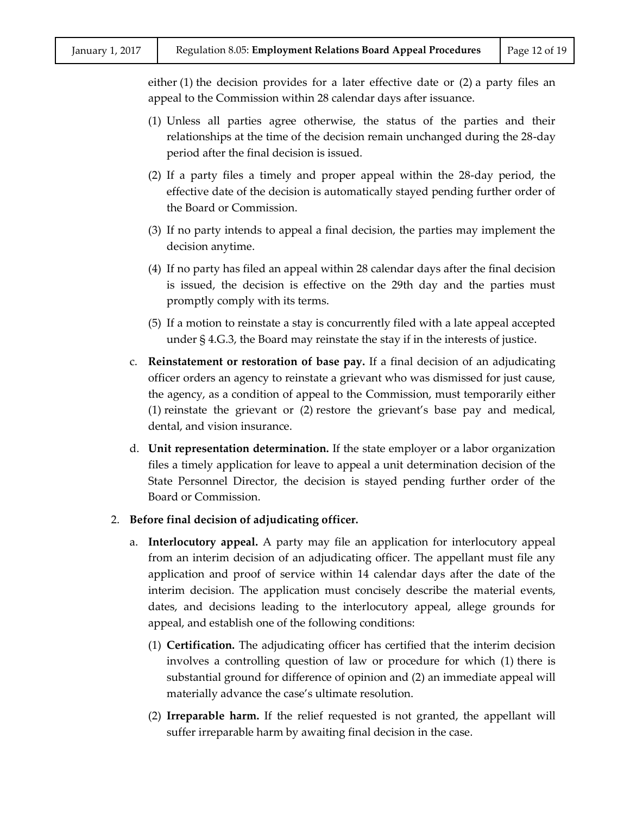either (1) the decision provides for a later effective date or (2) a party files an appeal to the Commission within 28 calendar days after issuance.

- (1) Unless all parties agree otherwise, the status of the parties and their relationships at the time of the decision remain unchanged during the 28-day period after the final decision is issued.
- (2) If a party files a timely and proper appeal within the 28-day period, the effective date of the decision is automatically stayed pending further order of the Board or Commission.
- (3) If no party intends to appeal a final decision, the parties may implement the decision anytime.
- (4) If no party has filed an appeal within 28 calendar days after the final decision is issued, the decision is effective on the 29th day and the parties must promptly comply with its terms.
- (5) If a motion to reinstate a stay is concurrently filed with a late appeal accepted under § 4.G.3, the Board may reinstate the stay if in the interests of justice.
- c. **Reinstatement or restoration of base pay.** If a final decision of an adjudicating officer orders an agency to reinstate a grievant who was dismissed for just cause, the agency, as a condition of appeal to the Commission, must temporarily either (1) reinstate the grievant or (2) restore the grievant's base pay and medical, dental, and vision insurance.
- d. **Unit representation determination.** If the state employer or a labor organization files a timely application for leave to appeal a unit determination decision of the State Personnel Director, the decision is stayed pending further order of the Board or Commission.

#### 2. **Before final decision of adjudicating officer.**

- a. **Interlocutory appeal.** A party may file an application for interlocutory appeal from an interim decision of an adjudicating officer. The appellant must file any application and proof of service within 14 calendar days after the date of the interim decision. The application must concisely describe the material events, dates, and decisions leading to the interlocutory appeal, allege grounds for appeal, and establish one of the following conditions:
	- (1) **Certification.** The adjudicating officer has certified that the interim decision involves a controlling question of law or procedure for which (1) there is substantial ground for difference of opinion and (2) an immediate appeal will materially advance the case's ultimate resolution.
	- (2) **Irreparable harm.** If the relief requested is not granted, the appellant will suffer irreparable harm by awaiting final decision in the case.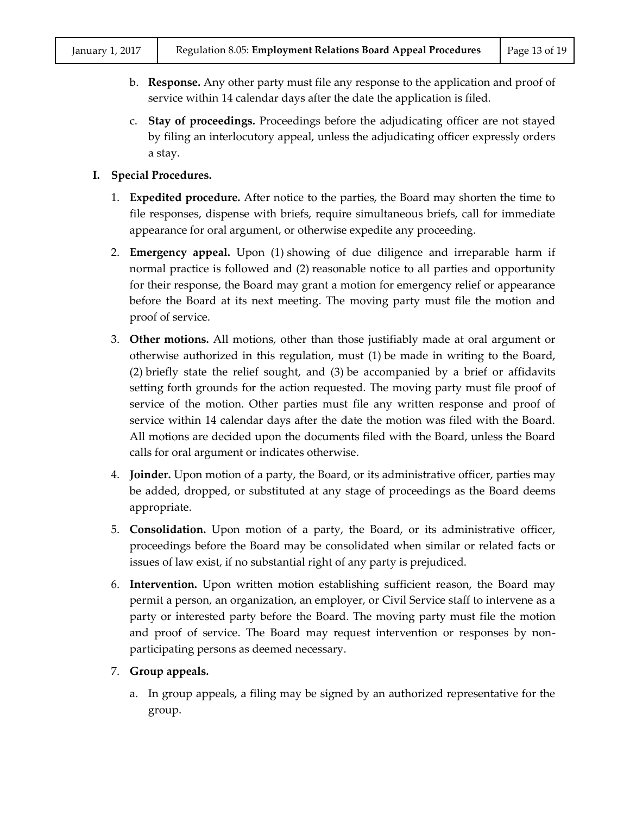- b. **Response.** Any other party must file any response to the application and proof of service within 14 calendar days after the date the application is filed.
- c. **Stay of proceedings.** Proceedings before the adjudicating officer are not stayed by filing an interlocutory appeal, unless the adjudicating officer expressly orders a stay.

# **I. Special Procedures.**

- 1. **Expedited procedure.** After notice to the parties, the Board may shorten the time to file responses, dispense with briefs, require simultaneous briefs, call for immediate appearance for oral argument, or otherwise expedite any proceeding.
- 2. **Emergency appeal.** Upon (1) showing of due diligence and irreparable harm if normal practice is followed and (2) reasonable notice to all parties and opportunity for their response, the Board may grant a motion for emergency relief or appearance before the Board at its next meeting. The moving party must file the motion and proof of service.
- 3. **Other motions.** All motions, other than those justifiably made at oral argument or otherwise authorized in this regulation, must (1) be made in writing to the Board, (2) briefly state the relief sought, and (3) be accompanied by a brief or affidavits setting forth grounds for the action requested. The moving party must file proof of service of the motion. Other parties must file any written response and proof of service within 14 calendar days after the date the motion was filed with the Board. All motions are decided upon the documents filed with the Board, unless the Board calls for oral argument or indicates otherwise.
- 4. **Joinder.** Upon motion of a party, the Board, or its administrative officer, parties may be added, dropped, or substituted at any stage of proceedings as the Board deems appropriate.
- 5. **Consolidation.** Upon motion of a party, the Board, or its administrative officer, proceedings before the Board may be consolidated when similar or related facts or issues of law exist, if no substantial right of any party is prejudiced.
- 6. **Intervention.** Upon written motion establishing sufficient reason, the Board may permit a person, an organization, an employer, or Civil Service staff to intervene as a party or interested party before the Board. The moving party must file the motion and proof of service. The Board may request intervention or responses by nonparticipating persons as deemed necessary.
- 7. **Group appeals.**
	- a. In group appeals, a filing may be signed by an authorized representative for the group.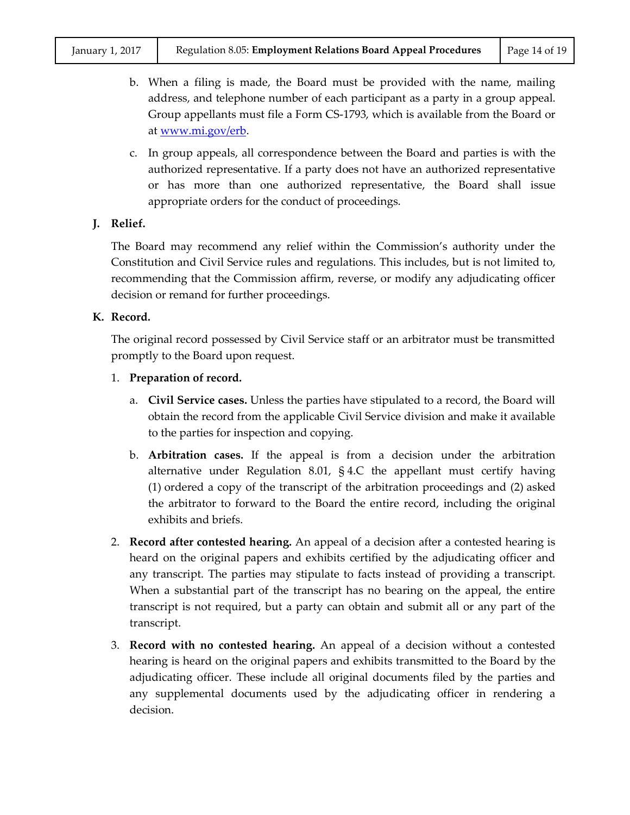- b. When a filing is made, the Board must be provided with the name, mailing address, and telephone number of each participant as a party in a group appeal. Group appellants must file a Form CS-1793, which is available from the Board or at [www.mi.gov/erb.](http://www.mi.gov/erb)
- c. In group appeals, all correspondence between the Board and parties is with the authorized representative. If a party does not have an authorized representative or has more than one authorized representative, the Board shall issue appropriate orders for the conduct of proceedings.

# **J. Relief.**

The Board may recommend any relief within the Commission's authority under the Constitution and Civil Service rules and regulations. This includes, but is not limited to, recommending that the Commission affirm, reverse, or modify any adjudicating officer decision or remand for further proceedings.

#### **K. Record.**

The original record possessed by Civil Service staff or an arbitrator must be transmitted promptly to the Board upon request.

# 1. **Preparation of record.**

- a. **Civil Service cases.** Unless the parties have stipulated to a record, the Board will obtain the record from the applicable Civil Service division and make it available to the parties for inspection and copying.
- b. **Arbitration cases.** If the appeal is from a decision under the arbitration alternative under Regulation 8.01,  $\S$  4.C the appellant must certify having (1) ordered a copy of the transcript of the arbitration proceedings and (2) asked the arbitrator to forward to the Board the entire record, including the original exhibits and briefs.
- 2. **Record after contested hearing.** An appeal of a decision after a contested hearing is heard on the original papers and exhibits certified by the adjudicating officer and any transcript. The parties may stipulate to facts instead of providing a transcript. When a substantial part of the transcript has no bearing on the appeal, the entire transcript is not required, but a party can obtain and submit all or any part of the transcript.
- 3. **Record with no contested hearing.** An appeal of a decision without a contested hearing is heard on the original papers and exhibits transmitted to the Board by the adjudicating officer. These include all original documents filed by the parties and any supplemental documents used by the adjudicating officer in rendering a decision.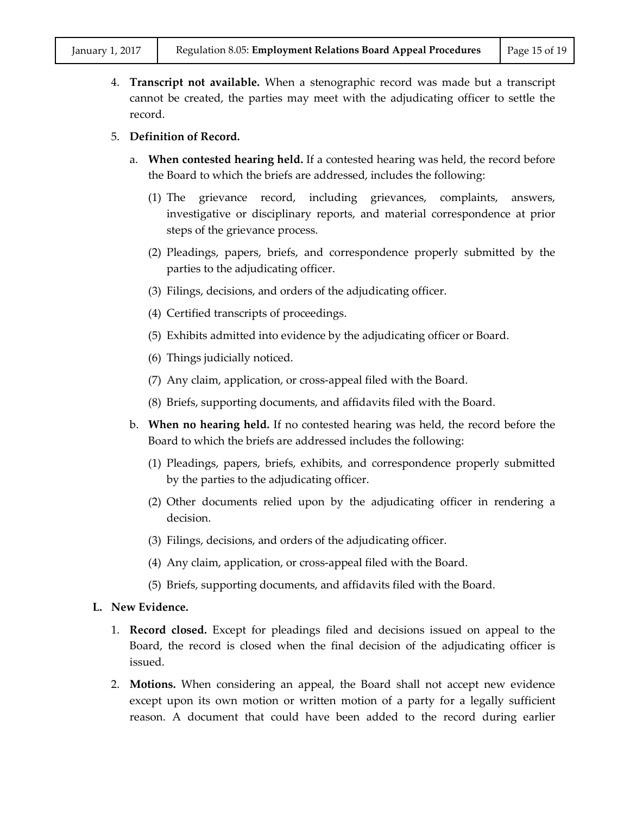4. **Transcript not available.** When a stenographic record was made but a transcript cannot be created, the parties may meet with the adjudicating officer to settle the record.

# 5. **Definition of Record.**

- a. **When contested hearing held.** If a contested hearing was held, the record before the Board to which the briefs are addressed, includes the following:
	- (1) The grievance record, including grievances, complaints, answers, investigative or disciplinary reports, and material correspondence at prior steps of the grievance process.
	- (2) Pleadings, papers, briefs, and correspondence properly submitted by the parties to the adjudicating officer.
	- (3) Filings, decisions, and orders of the adjudicating officer.
	- (4) Certified transcripts of proceedings.
	- (5) Exhibits admitted into evidence by the adjudicating officer or Board.
	- (6) Things judicially noticed.
	- (7) Any claim, application, or cross-appeal filed with the Board.
	- (8) Briefs, supporting documents, and affidavits filed with the Board.
- b. **When no hearing held.** If no contested hearing was held, the record before the Board to which the briefs are addressed includes the following:
	- (1) Pleadings, papers, briefs, exhibits, and correspondence properly submitted by the parties to the adjudicating officer.
	- (2) Other documents relied upon by the adjudicating officer in rendering a decision.
	- (3) Filings, decisions, and orders of the adjudicating officer.
	- (4) Any claim, application, or cross-appeal filed with the Board.
	- (5) Briefs, supporting documents, and affidavits filed with the Board.

# **L. New Evidence.**

- 1. **Record closed.** Except for pleadings filed and decisions issued on appeal to the Board, the record is closed when the final decision of the adjudicating officer is issued.
- 2. **Motions.** When considering an appeal, the Board shall not accept new evidence except upon its own motion or written motion of a party for a legally sufficient reason. A document that could have been added to the record during earlier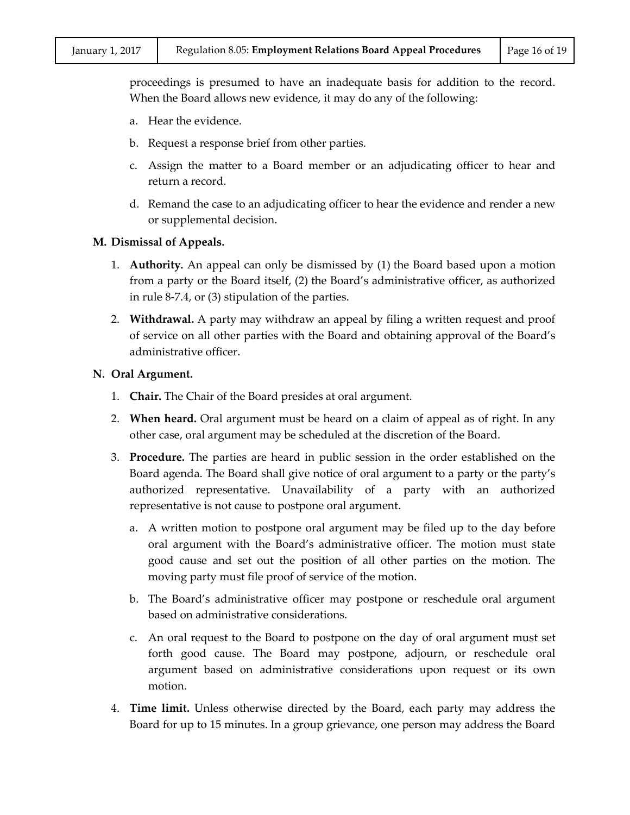proceedings is presumed to have an inadequate basis for addition to the record. When the Board allows new evidence, it may do any of the following:

- a. Hear the evidence.
- b. Request a response brief from other parties.
- c. Assign the matter to a Board member or an adjudicating officer to hear and return a record.
- d. Remand the case to an adjudicating officer to hear the evidence and render a new or supplemental decision.

#### **M. Dismissal of Appeals.**

- 1. **Authority.** An appeal can only be dismissed by (1) the Board based upon a motion from a party or the Board itself, (2) the Board's administrative officer, as authorized in rule 8-7.4, or (3) stipulation of the parties.
- 2. **Withdrawal.** A party may withdraw an appeal by filing a written request and proof of service on all other parties with the Board and obtaining approval of the Board's administrative officer.

#### **N. Oral Argument.**

- 1. **Chair.** The Chair of the Board presides at oral argument.
- 2. **When heard.** Oral argument must be heard on a claim of appeal as of right. In any other case, oral argument may be scheduled at the discretion of the Board.
- 3. **Procedure.** The parties are heard in public session in the order established on the Board agenda. The Board shall give notice of oral argument to a party or the party's authorized representative. Unavailability of a party with an authorized representative is not cause to postpone oral argument.
	- a. A written motion to postpone oral argument may be filed up to the day before oral argument with the Board's administrative officer. The motion must state good cause and set out the position of all other parties on the motion. The moving party must file proof of service of the motion.
	- b. The Board's administrative officer may postpone or reschedule oral argument based on administrative considerations.
	- c. An oral request to the Board to postpone on the day of oral argument must set forth good cause. The Board may postpone, adjourn, or reschedule oral argument based on administrative considerations upon request or its own motion.
- 4. **Time limit.** Unless otherwise directed by the Board, each party may address the Board for up to 15 minutes. In a group grievance, one person may address the Board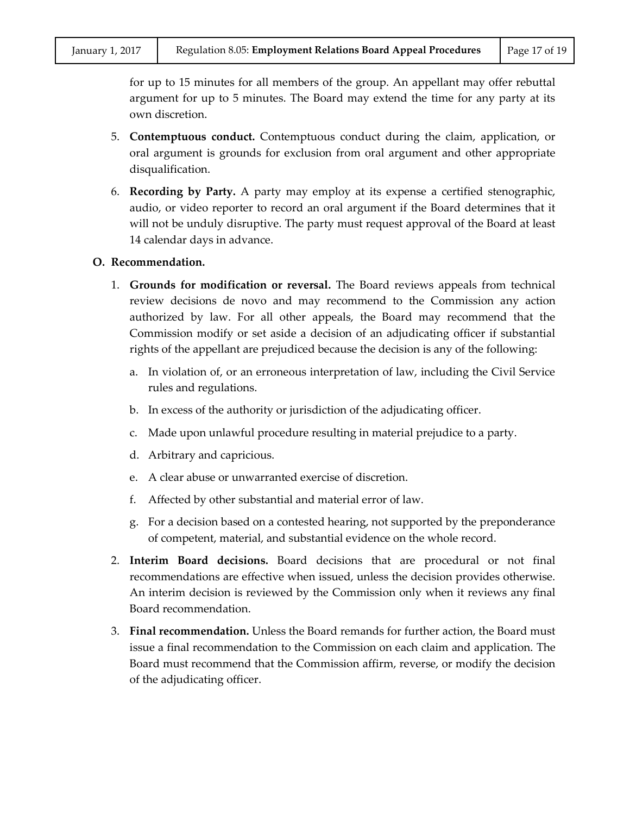for up to 15 minutes for all members of the group. An appellant may offer rebuttal argument for up to 5 minutes. The Board may extend the time for any party at its own discretion.

- 5. **Contemptuous conduct.** Contemptuous conduct during the claim, application, or oral argument is grounds for exclusion from oral argument and other appropriate disqualification.
- 6. **Recording by Party.** A party may employ at its expense a certified stenographic, audio, or video reporter to record an oral argument if the Board determines that it will not be unduly disruptive. The party must request approval of the Board at least 14 calendar days in advance.

#### **O. Recommendation.**

- 1. **Grounds for modification or reversal.** The Board reviews appeals from technical review decisions de novo and may recommend to the Commission any action authorized by law. For all other appeals, the Board may recommend that the Commission modify or set aside a decision of an adjudicating officer if substantial rights of the appellant are prejudiced because the decision is any of the following:
	- a. In violation of, or an erroneous interpretation of law, including the Civil Service rules and regulations.
	- b. In excess of the authority or jurisdiction of the adjudicating officer.
	- c. Made upon unlawful procedure resulting in material prejudice to a party.
	- d. Arbitrary and capricious.
	- e. A clear abuse or unwarranted exercise of discretion.
	- f. Affected by other substantial and material error of law.
	- g. For a decision based on a contested hearing, not supported by the preponderance of competent, material, and substantial evidence on the whole record.
- 2. **Interim Board decisions.** Board decisions that are procedural or not final recommendations are effective when issued, unless the decision provides otherwise. An interim decision is reviewed by the Commission only when it reviews any final Board recommendation.
- 3. **Final recommendation.** Unless the Board remands for further action, the Board must issue a final recommendation to the Commission on each claim and application. The Board must recommend that the Commission affirm, reverse, or modify the decision of the adjudicating officer.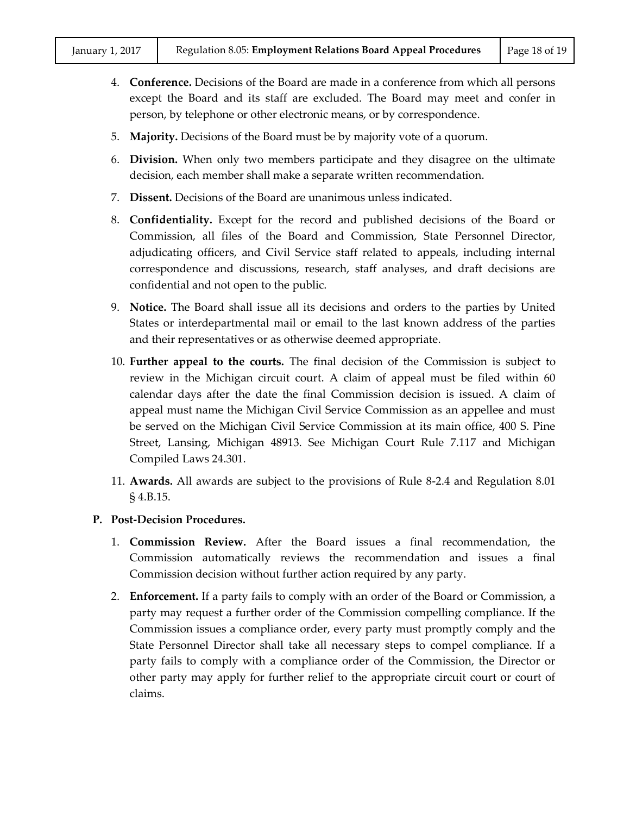- 4. **Conference.** Decisions of the Board are made in a conference from which all persons except the Board and its staff are excluded. The Board may meet and confer in person, by telephone or other electronic means, or by correspondence.
- 5. **Majority.** Decisions of the Board must be by majority vote of a quorum.
- 6. **Division.** When only two members participate and they disagree on the ultimate decision, each member shall make a separate written recommendation.
- 7. **Dissent.** Decisions of the Board are unanimous unless indicated.
- 8. **Confidentiality.** Except for the record and published decisions of the Board or Commission, all files of the Board and Commission, State Personnel Director, adjudicating officers, and Civil Service staff related to appeals, including internal correspondence and discussions, research, staff analyses, and draft decisions are confidential and not open to the public.
- 9. **Notice.** The Board shall issue all its decisions and orders to the parties by United States or interdepartmental mail or email to the last known address of the parties and their representatives or as otherwise deemed appropriate.
- 10. **Further appeal to the courts.** The final decision of the Commission is subject to review in the Michigan circuit court. A claim of appeal must be filed within 60 calendar days after the date the final Commission decision is issued. A claim of appeal must name the Michigan Civil Service Commission as an appellee and must be served on the Michigan Civil Service Commission at its main office, 400 S. Pine Street, Lansing, Michigan 48913. See Michigan Court Rule 7.117 and Michigan Compiled Laws 24.301.
- 11. **Awards.** All awards are subject to the provisions of Rule 8-2.4 and Regulation 8.01 § 4.B.15.

# **P. Post-Decision Procedures.**

- 1. **Commission Review.** After the Board issues a final recommendation, the Commission automatically reviews the recommendation and issues a final Commission decision without further action required by any party.
- 2. **Enforcement.** If a party fails to comply with an order of the Board or Commission, a party may request a further order of the Commission compelling compliance. If the Commission issues a compliance order, every party must promptly comply and the State Personnel Director shall take all necessary steps to compel compliance. If a party fails to comply with a compliance order of the Commission, the Director or other party may apply for further relief to the appropriate circuit court or court of claims.